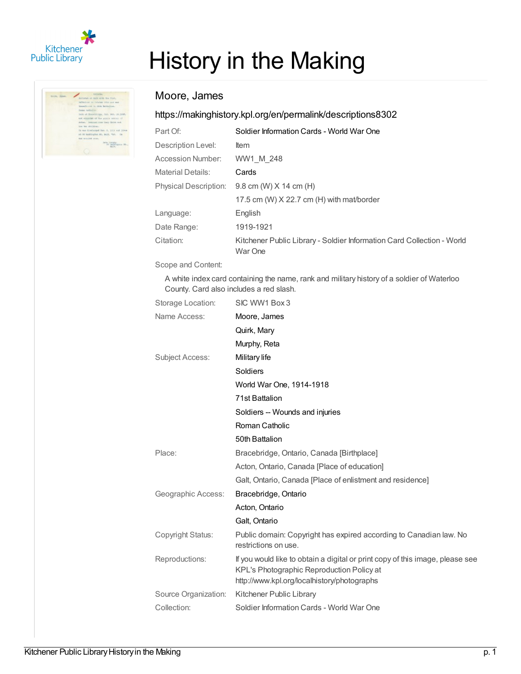



## History in the Making

## Moore, James

## <https://makinghistory.kpl.org/en/permalink/descriptions8302>

| Part Of:                     | Soldier Information Cards - World War One                                         |  |
|------------------------------|-----------------------------------------------------------------------------------|--|
| Description Level:           | <b>Item</b>                                                                       |  |
| Accession Number:            | WW1 M 248                                                                         |  |
| <b>Material Details:</b>     | Cards                                                                             |  |
| <b>Physical Description:</b> | $9.8$ cm (W) $X$ 14 cm (H)                                                        |  |
|                              | 17.5 cm (W) X 22.7 cm (H) with mat/border                                         |  |
| Language:                    | English                                                                           |  |
| Date Range:                  | 1919-1921                                                                         |  |
| Citation:                    | Kitchener Public Library - Soldier Information Card Collection - World<br>War One |  |

Scope and Content:

A white index card containing the name, rank and military history of a soldier of Waterloo County. Card also includes a red slash.

| Storage Location:      | SIC WW1 Box 3                                                                                                                                                             |  |
|------------------------|---------------------------------------------------------------------------------------------------------------------------------------------------------------------------|--|
| Name Access:           | Moore, James                                                                                                                                                              |  |
|                        | Quirk, Mary                                                                                                                                                               |  |
|                        | Murphy, Reta                                                                                                                                                              |  |
| <b>Subject Access:</b> | Military life                                                                                                                                                             |  |
|                        | Soldiers                                                                                                                                                                  |  |
|                        | World War One, 1914-1918                                                                                                                                                  |  |
|                        | 71st Battalion                                                                                                                                                            |  |
|                        | Soldiers -- Wounds and injuries                                                                                                                                           |  |
|                        | Roman Catholic                                                                                                                                                            |  |
|                        | 50th Battalion                                                                                                                                                            |  |
| Place:                 | Bracebridge, Ontario, Canada [Birthplace]                                                                                                                                 |  |
|                        | Acton, Ontario, Canada [Place of education]                                                                                                                               |  |
|                        | Galt, Ontario, Canada [Place of enlistment and residence]                                                                                                                 |  |
| Geographic Access:     | Bracebridge, Ontario                                                                                                                                                      |  |
|                        | Acton, Ontario                                                                                                                                                            |  |
|                        | Galt, Ontario                                                                                                                                                             |  |
| Copyright Status:      | Public domain: Copyright has expired according to Canadian law. No<br>restrictions on use.                                                                                |  |
| Reproductions:         | If you would like to obtain a digital or print copy of this image, please see<br>KPL's Photographic Reproduction Policy at<br>http://www.kpl.org/localhistory/photographs |  |
| Source Organization:   | Kitchener Public Library                                                                                                                                                  |  |
| Collection:            | Soldier Information Cards - World War One                                                                                                                                 |  |